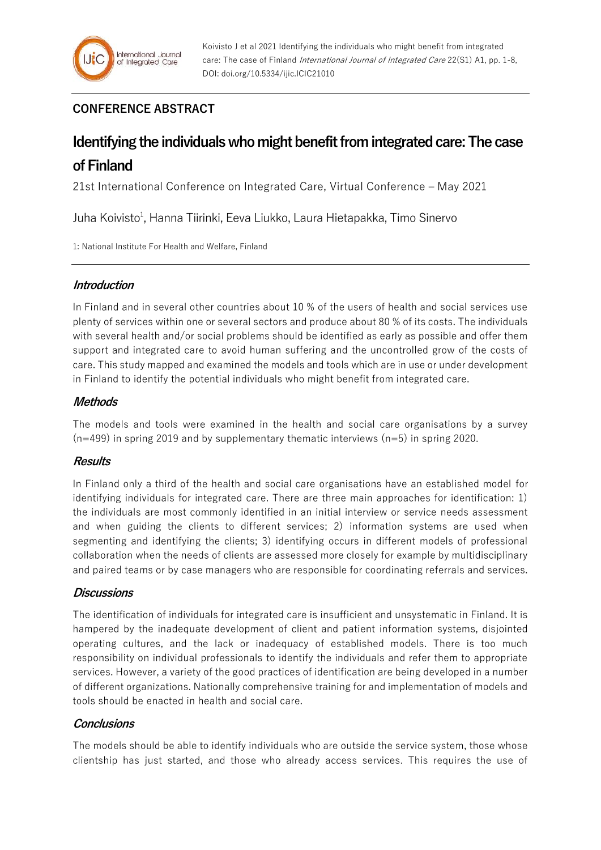# **CONFERENCE ABSTRACT**

# **Identifying the individuals who might benefit from integrated care: The case of Finland**

21st International Conference on Integrated Care, Virtual Conference – May 2021

Juha Koivisto<sup>1</sup>, Hanna Tiirinki, Eeva Liukko, Laura Hietapakka, Timo Sinervo

1: National Institute For Health and Welfare, Finland

## **Introduction**

In Finland and in several other countries about 10 % of the users of health and social services use plenty of services within one or several sectors and produce about 80 % of its costs. The individuals with several health and/or social problems should be identified as early as possible and offer them support and integrated care to avoid human suffering and the uncontrolled grow of the costs of care. This study mapped and examined the models and tools which are in use or under development in Finland to identify the potential individuals who might benefit from integrated care.

### **Methods**

The models and tools were examined in the health and social care organisations by a survey  $(n=499)$  in spring 2019 and by supplementary thematic interviews  $(n=5)$  in spring 2020.

# **Results**

In Finland only a third of the health and social care organisations have an established model for identifying individuals for integrated care. There are three main approaches for identification: 1) the individuals are most commonly identified in an initial interview or service needs assessment and when guiding the clients to different services; 2) information systems are used when segmenting and identifying the clients; 3) identifying occurs in different models of professional collaboration when the needs of clients are assessed more closely for example by multidisciplinary and paired teams or by case managers who are responsible for coordinating referrals and services.

### **Discussions**

The identification of individuals for integrated care is insufficient and unsystematic in Finland. It is hampered by the inadequate development of client and patient information systems, disjointed operating cultures, and the lack or inadequacy of established models. There is too much responsibility on individual professionals to identify the individuals and refer them to appropriate services. However, a variety of the good practices of identification are being developed in a number of different organizations. Nationally comprehensive training for and implementation of models and tools should be enacted in health and social care.

### **Conclusions**

The models should be able to identify individuals who are outside the service system, those whose clientship has just started, and those who already access services. This requires the use of